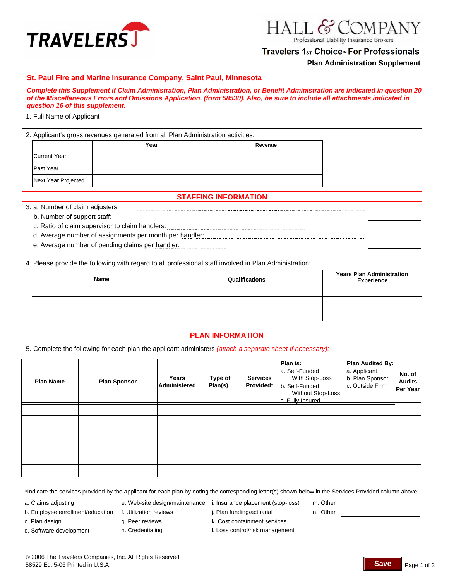

# Travelers 1<sub>st</sub> Choice<sup>™</sup> For Professionals

**Plan Administration Supplement**

#### **St. Paul Fire and Marine Insurance Company, Saint Paul, Minnesota**

*Complete this Supplement if Claim Administration, Plan Administration, or Benefit Administration are indicated in question 20 of the Miscellaneous Errors and Omissions Application, (form 58530). Also, be sure to include all attachments indicated in question 16 of this supplement.*

#### 1. Full Name of Applicant

2. Applicant's gross revenues generated from all Plan Administration activities:

|                     | Year | Revenue |
|---------------------|------|---------|
| Current Year        |      |         |
| Past Year           |      |         |
| Next Year Projected |      |         |

## **STAFFING INFORMATION**

3. a. Number of claim adjusters:

- b. Number of support staff:
- c. Ratio of claim supervisor to claim handlers:
- d. Average number of assignments per month per handler:
- e. Average number of pending claims per handler: [1] productional continuation continuation of the Average of Average of Average of Average of Average of Average of Average of Average of Average of Average of Average of Av

4. Please provide the following with regard to all professional staff involved in Plan Administration:

| Name | Qualifications | <b>Years Plan Administration</b><br><b>Experience</b> |
|------|----------------|-------------------------------------------------------|
|      |                |                                                       |
|      |                |                                                       |
|      |                |                                                       |

# **PLAN INFORMATION**

5. Complete the following for each plan the applicant administers *(attach a separate sheet If necessary):*

| <b>Plan Name</b> | <b>Plan Sponsor</b> | Years<br>Administered | Type of<br>Plan(s) | <b>Services</b><br>Provided* | Plan is:<br>a. Self-Funded<br>With Stop-Loss<br>b. Self-Funded<br>Without Stop-Loss<br>c. Fully Insured | Plan Audited By:<br>a. Applicant<br>b. Plan Sponsor<br>c. Outside Firm | No. of<br><b>Audits</b><br>Per Year |
|------------------|---------------------|-----------------------|--------------------|------------------------------|---------------------------------------------------------------------------------------------------------|------------------------------------------------------------------------|-------------------------------------|
|                  |                     |                       |                    |                              |                                                                                                         |                                                                        |                                     |
|                  |                     |                       |                    |                              |                                                                                                         |                                                                        |                                     |
|                  |                     |                       |                    |                              |                                                                                                         |                                                                        |                                     |
|                  |                     |                       |                    |                              |                                                                                                         |                                                                        |                                     |
|                  |                     |                       |                    |                              |                                                                                                         |                                                                        |                                     |
|                  |                     |                       |                    |                              |                                                                                                         |                                                                        |                                     |

\*Indicate the services provided by the applicant for each plan by noting the corresponding letter(s) shown below in the Services Provided column above:

- 
- 
- a. Claims adjusting e. Web-site design/maintenance i. Insurance placement (stop-loss) m. Other
	-
- c. Plan design g. Peer reviews
- b. Employee enrollment/education f. Utilization reviews j. Plan funding/actuarial n. Other f. Utilization reviews
	-
- d. Software development h. Credentialing
- 
- k. Cost containment services
- l. Loss control/risk management

© 2006 The Travelers Companies, Inc. All Rights Reserved 58529 Ed. 5-06 Printed in U.S.A. Page 1 of 3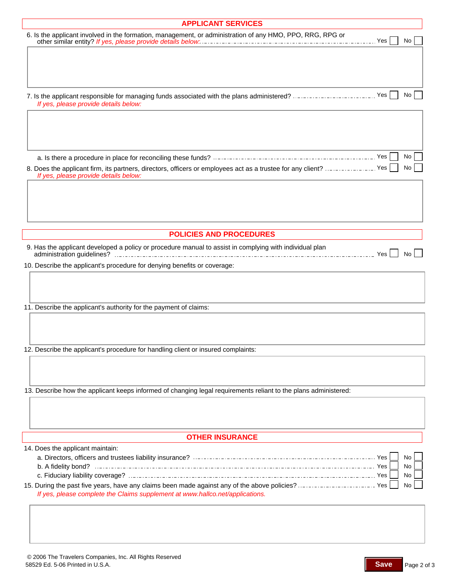| <b>APPLICANT SERVICES</b>                                                                                        |          |
|------------------------------------------------------------------------------------------------------------------|----------|
| 6. Is the applicant involved in the formation, management, or administration of any HMO, PPO, RRG, RPG or        |          |
|                                                                                                                  | No       |
|                                                                                                                  |          |
|                                                                                                                  |          |
|                                                                                                                  |          |
|                                                                                                                  |          |
| 7. Is the applicant responsible for managing funds associated with the plans administered?  Yes                  | No       |
| If yes, please provide details below:                                                                            |          |
|                                                                                                                  |          |
|                                                                                                                  |          |
|                                                                                                                  |          |
|                                                                                                                  |          |
|                                                                                                                  | No       |
| 8. Does the applicant firm, its partners, directors, officers or employees act as a trustee for any client?  Yes | No       |
| If yes, please provide details below:                                                                            |          |
|                                                                                                                  |          |
|                                                                                                                  |          |
|                                                                                                                  |          |
|                                                                                                                  |          |
|                                                                                                                  |          |
| <b>POLICIES AND PROCEDURES</b>                                                                                   |          |
| 9. Has the applicant developed a policy or procedure manual to assist in complying with individual plan          |          |
|                                                                                                                  | No.      |
| 10. Describe the applicant's procedure for denying benefits or coverage:                                         |          |
|                                                                                                                  |          |
|                                                                                                                  |          |
|                                                                                                                  |          |
| 11. Describe the applicant's authority for the payment of claims:                                                |          |
|                                                                                                                  |          |
|                                                                                                                  |          |
|                                                                                                                  |          |
| 12. Describe the applicant's procedure for handling client or insured complaints:                                |          |
|                                                                                                                  |          |
|                                                                                                                  |          |
|                                                                                                                  |          |
| 13. Describe how the applicant keeps informed of changing legal requirements reliant to the plans administered:  |          |
|                                                                                                                  |          |
|                                                                                                                  |          |
|                                                                                                                  |          |
|                                                                                                                  |          |
| <b>OTHER INSURANCE</b>                                                                                           |          |
| 14. Does the applicant maintain:                                                                                 |          |
|                                                                                                                  | No       |
|                                                                                                                  | No<br>No |
| 15. During the past five years, have any claims been made against any of the above policies?  Yes                | No       |
| If yes, please complete the Claims supplement at www.hallco.net/applications.                                    |          |
|                                                                                                                  |          |
|                                                                                                                  |          |
|                                                                                                                  |          |
|                                                                                                                  |          |
|                                                                                                                  |          |

Page 2 of 3